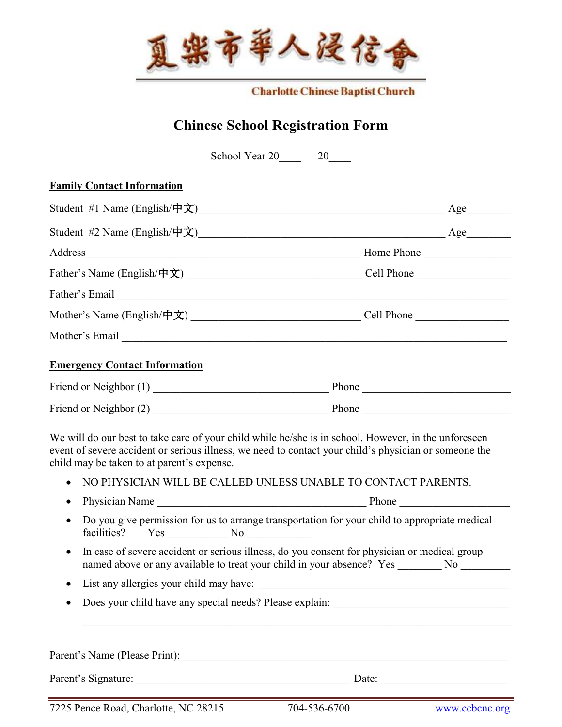

**Charlotte Chinese Baptist Church** 

## **Chinese School Registration Form**

School Year  $20 - 20$ 

## **Family Contact Information**

|                                              | Address Home Phone                                                                                                                                                                                                             |
|----------------------------------------------|--------------------------------------------------------------------------------------------------------------------------------------------------------------------------------------------------------------------------------|
|                                              |                                                                                                                                                                                                                                |
|                                              | Father's Email Leadership and the set of the set of the set of the set of the set of the set of the set of the set of the set of the set of the set of the set of the set of the set of the set of the set of the set of the s |
|                                              |                                                                                                                                                                                                                                |
|                                              |                                                                                                                                                                                                                                |
|                                              |                                                                                                                                                                                                                                |
| <b>Emergency Contact Information</b>         |                                                                                                                                                                                                                                |
|                                              |                                                                                                                                                                                                                                |
|                                              |                                                                                                                                                                                                                                |
| child may be taken to at parent's expense.   | We will do our best to take care of your child while he/she is in school. However, in the unforeseen<br>event of severe accident or serious illness, we need to contact your child's physician or someone the                  |
|                                              | NO PHYSICIAN WILL BE CALLED UNLESS UNABLE TO CONTACT PARENTS.                                                                                                                                                                  |
| $\bullet$<br>$\bullet$<br>facilities? Yes No | Do you give permission for us to arrange transportation for your child to appropriate medical                                                                                                                                  |
| $\bullet$                                    | In case of severe accident or serious illness, do you consent for physician or medical group<br>named above or any available to treat your child in your absence? Yes _________ No ________                                    |
| $\bullet$                                    |                                                                                                                                                                                                                                |

Parent's Signature: \_\_\_\_\_\_\_\_\_\_\_\_\_\_\_\_\_\_\_\_\_\_\_\_\_\_\_\_\_\_\_\_\_\_\_\_\_\_\_ Date: \_\_\_\_\_\_\_\_\_\_\_\_\_\_\_\_\_\_\_\_\_\_\_

7225 Pence Road, Charlotte, NC 28215 704-536-6700 www.ccbcnc.org